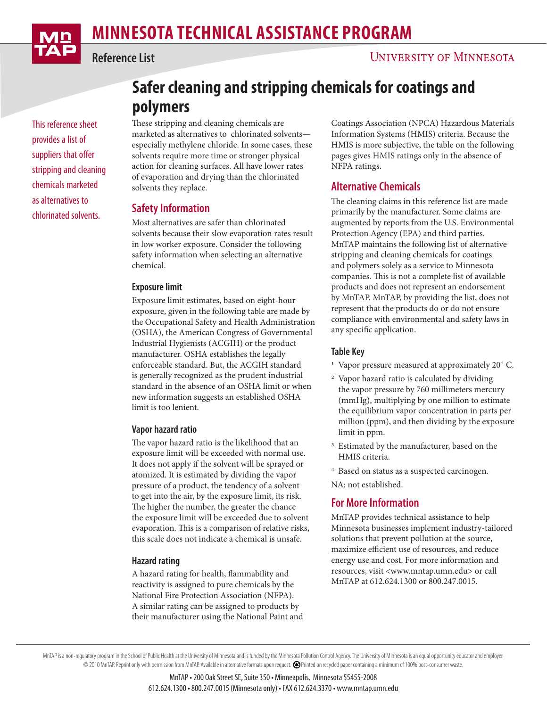

**Reference List**

This reference sheet provides a list of suppliers that offer stripping and cleaning chemicals marketed as alternatives to chlorinated solvents.

# **Safer cleaning and stripping chemicals for coatings and polymers**

These stripping and cleaning chemicals are marketed as alternatives to chlorinated solvents especially methylene chloride. In some cases, these solvents require more time or stronger physical action for cleaning surfaces. All have lower rates of evaporation and drying than the chlorinated solvents they replace.

## **Safety Information**

Most alternatives are safer than chlorinated solvents because their slow evaporation rates result in low worker exposure. Consider the following safety information when selecting an alternative chemical.

## **Exposure limit**

Exposure limit estimates, based on eight-hour exposure, given in the following table are made by the Occupational Safety and Health Administration (OSHA), the American Congress of Governmental Industrial Hygienists (ACGIH) or the product manufacturer. OSHA establishes the legally enforceable standard. But, the ACGIH standard is generally recognized as the prudent industrial standard in the absence of an OSHA limit or when new information suggests an established OSHA limit is too lenient.

#### **Vapor hazard ratio**

The vapor hazard ratio is the likelihood that an exposure limit will be exceeded with normal use. It does not apply if the solvent will be sprayed or atomized. It is estimated by dividing the vapor pressure of a product, the tendency of a solvent to get into the air, by the exposure limit, its risk. The higher the number, the greater the chance the exposure limit will be exceeded due to solvent evaporation. This is a comparison of relative risks, this scale does not indicate a chemical is unsafe.

#### **Hazard rating**

A hazard rating for health, flammability and reactivity is assigned to pure chemicals by the National Fire Protection Association (NFPA). A similar rating can be assigned to products by their manufacturer using the National Paint and Coatings Association (NPCA) Hazardous Materials Information Systems (HMIS) criteria. Because the HMIS is more subjective, the table on the following pages gives HMIS ratings only in the absence of NFPA ratings.

# **Alternative Chemicals**

The cleaning claims in this reference list are made primarily by the manufacturer. Some claims are augmented by reports from the U.S. Environmental Protection Agency (EPA) and third parties. MnTAP maintains the following list of alternative stripping and cleaning chemicals for coatings and polymers solely as a service to Minnesota companies. This is not a complete list of available products and does not represent an endorsement by MnTAP. MnTAP, by providing the list, does not represent that the products do or do not ensure compliance with environmental and safety laws in any specific application.

## **Table Key**

- 1 Vapor pressure measured at approximately 20˚ C.
- 2 Vapor hazard ratio is calculated by dividing the vapor pressure by 760 millimeters mercury (mmHg), multiplying by one million to estimate the equilibrium vapor concentration in parts per million (ppm), and then dividing by the exposure limit in ppm.
- <sup>3</sup> Estimated by the manufacturer, based on the HMIS criteria.
- 4 Based on status as a suspected carcinogen.
- NA: not established.

## **For More Information**

MnTAP provides technical assistance to help Minnesota businesses implement industry-tailored solutions that prevent pollution at the source, maximize efficient use of resources, and reduce energy use and cost. For more information and resources, visit <www.mntap.umn.edu> or call MnTAP at 612.624.1300 or 800.247.0015.

MnTAP is a non-regulatory program in the School of Public Health at the University of Minnesota and is funded by the Minnesota Pollution Control Agency. The University of Minnesota is an equal opportunity educator and empl © 2010 MnTAP. Reprint only with permission from MnTAP. Available in alternative formats upon request. Printed on recycled paper containing a minimum of 100% post-consumer waste.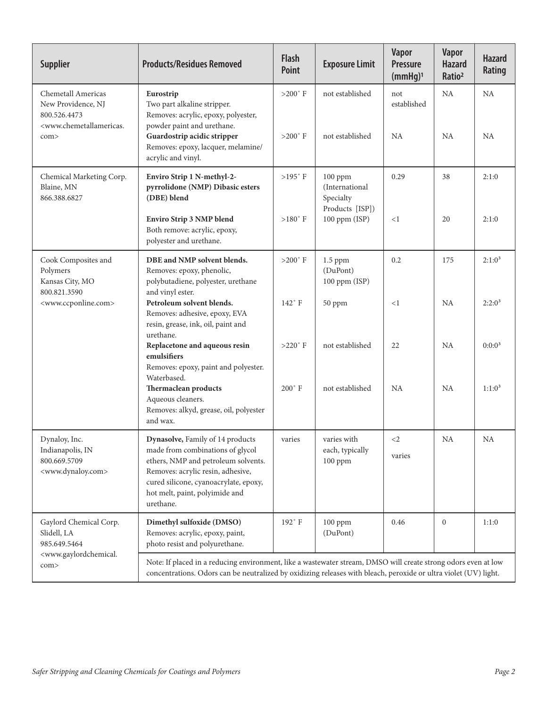| <b>Supplier</b>                                                                                                            | <b>Products/Residues Removed</b>                                                                                                                                                                                                         | <b>Flash</b><br><b>Point</b>          | <b>Exposure Limit</b>                                     | <b>Vapor</b><br><b>Pressure</b><br>(mmHg) <sup>1</sup> | Vapor<br><b>Hazard</b><br>Ratio <sup>2</sup> | <b>Hazard</b><br>Rating |
|----------------------------------------------------------------------------------------------------------------------------|------------------------------------------------------------------------------------------------------------------------------------------------------------------------------------------------------------------------------------------|---------------------------------------|-----------------------------------------------------------|--------------------------------------------------------|----------------------------------------------|-------------------------|
| Chemetall Americas<br>New Providence, NJ<br>800.526.4473<br><www.chemetallamericas.<br>com&gt;</www.chemetallamericas.<br> | Eurostrip<br>Two part alkaline stripper.<br>Removes: acrylic, epoxy, polyester,<br>powder paint and urethane.<br>Guardostrip acidic stripper                                                                                             | $>200$ $^{\circ}$ F<br>$>200^\circ$ F | not established<br>not established                        | not<br>established<br><b>NA</b>                        | NA<br>NA.                                    | <b>NA</b><br><b>NA</b>  |
|                                                                                                                            | Removes: epoxy, lacquer, melamine/<br>acrylic and vinyl.                                                                                                                                                                                 |                                       |                                                           |                                                        |                                              |                         |
| Chemical Marketing Corp.<br>Blaine, MN<br>866.388.6827                                                                     | Enviro Strip 1 N-methyl-2-<br>pyrrolidone (NMP) Dibasic esters<br>(DBE) blend                                                                                                                                                            | $>195^\circ$ F                        | 100 ppm<br>(International<br>Specialty<br>Products [ISP]) | 0.29                                                   | 38                                           | 2:1:0                   |
|                                                                                                                            | <b>Enviro Strip 3 NMP blend</b><br>Both remove: acrylic, epoxy,<br>polyester and urethane.                                                                                                                                               | $>180^\circ$ F                        | 100 ppm (ISP)                                             | <1                                                     | 20                                           | 2:1:0                   |
| Cook Composites and<br>Polymers<br>Kansas City, MO<br>800.821.3590<br><www.ccponline.com></www.ccponline.com>              | DBE and NMP solvent blends.<br>Removes: epoxy, phenolic,<br>polybutadiene, polyester, urethane<br>and vinyl ester.                                                                                                                       | $>200^\circ$ F                        | $1.5$ ppm<br>(DuPont)<br>100 ppm (ISP)                    | 0.2                                                    | 175                                          | $2:1:0^3$               |
|                                                                                                                            | Petroleum solvent blends.<br>Removes: adhesive, epoxy, EVA<br>resin, grease, ink, oil, paint and<br>urethane.                                                                                                                            | $142^\circ$ F                         | 50 ppm                                                    | <1                                                     | <b>NA</b>                                    | $2:2:0^3$               |
|                                                                                                                            | Replacetone and aqueous resin<br>emulsifiers<br>Removes: epoxy, paint and polyester.<br>Waterbased.                                                                                                                                      | $>220^\circ$ F                        | not established                                           | 22                                                     | <b>NA</b>                                    | 0:0:0 <sup>3</sup>      |
|                                                                                                                            | Thermaclean products<br>Aqueous cleaners.<br>Removes: alkyd, grease, oil, polyester<br>and wax.                                                                                                                                          | $200^\circ$ F                         | not established                                           | <b>NA</b>                                              | <b>NA</b>                                    | $1:1:0^3$               |
| Dynaloy, Inc.<br>Indianapolis, IN<br>800.669.5709<br><www.dynaloy.com></www.dynaloy.com>                                   | Dynasolve, Family of 14 products<br>made from combinations of glycol<br>ethers, NMP and petroleum solvents.<br>Removes: acrylic resin, adhesive,<br>cured silicone, cyanoacrylate, epoxy,<br>hot melt, paint, polyimide and<br>urethane. | varies                                | varies with<br>each, typically<br>$100$ ppm               | $\leq$ 2<br>varies                                     | <b>NA</b>                                    | <b>NA</b>               |
| Gaylord Chemical Corp.<br>Slidell, LA<br>985.649.5464<br><www.gaylordchemical.<br>com&gt;</www.gaylordchemical.<br>        | Dimethyl sulfoxide (DMSO)<br>Removes: acrylic, epoxy, paint,<br>photo resist and polyurethane.                                                                                                                                           | 192°F                                 | 100 ppm<br>(DuPont)                                       | 0.46                                                   | $\overline{0}$                               | 1:1:0                   |
|                                                                                                                            | Note: If placed in a reducing environment, like a wastewater stream, DMSO will create strong odors even at low<br>concentrations. Odors can be neutralized by oxidizing releases with bleach, peroxide or ultra violet (UV) light.       |                                       |                                                           |                                                        |                                              |                         |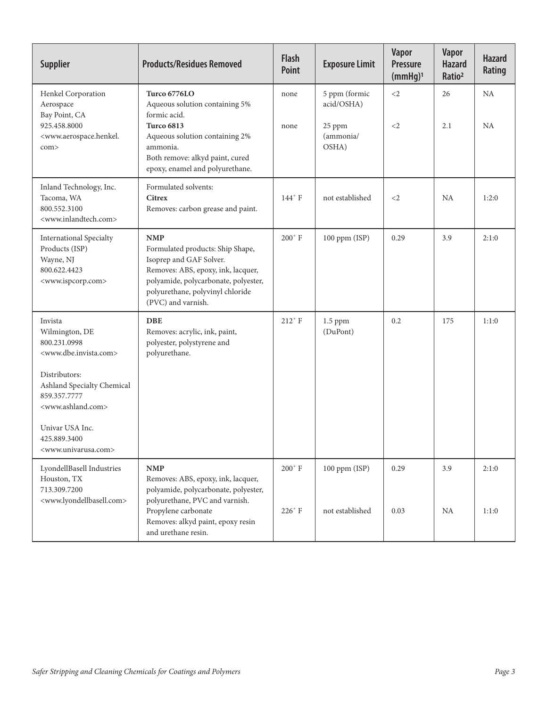| <b>Supplier</b>                                                                                                                  | <b>Products/Residues Removed</b>                                                                                                                                                                                  | <b>Flash</b><br><b>Point</b> | <b>Exposure Limit</b>        | <b>Vapor</b><br><b>Pressure</b><br>(mmHg) <sup>1</sup> | Vapor<br><b>Hazard</b><br>Ratio <sup>2</sup> | <b>Hazard</b><br>Rating |
|----------------------------------------------------------------------------------------------------------------------------------|-------------------------------------------------------------------------------------------------------------------------------------------------------------------------------------------------------------------|------------------------------|------------------------------|--------------------------------------------------------|----------------------------------------------|-------------------------|
| Henkel Corporation<br>Aerospace<br>Bay Point, CA<br>925.458.8000<br><www.aerospace.henkel.<br>com&gt;</www.aerospace.henkel.<br> | <b>Turco 6776LO</b><br>Aqueous solution containing 5%<br>formic acid.                                                                                                                                             | none                         | 5 ppm (formic<br>acid/OSHA)  | $\langle 2$                                            | 26                                           | NA                      |
|                                                                                                                                  | <b>Turco 6813</b><br>Aqueous solution containing 2%<br>ammonia.<br>Both remove: alkyd paint, cured<br>epoxy, enamel and polyurethane.                                                                             | none                         | 25 ppm<br>(ammonia/<br>OSHA) | $\leq$ 2                                               | 2.1                                          | <b>NA</b>               |
| Inland Technology, Inc.<br>Tacoma, WA<br>800.552.3100<br><www.inlandtech.com></www.inlandtech.com>                               | Formulated solvents:<br><b>Citrex</b><br>Removes: carbon grease and paint.                                                                                                                                        | 144°F                        | not established              | $\leq$ 2                                               | <b>NA</b>                                    | 1:2:0                   |
| <b>International Specialty</b><br>Products (ISP)<br>Wayne, NJ<br>800.622.4423<br><www.ispcorp.com></www.ispcorp.com>             | <b>NMP</b><br>Formulated products: Ship Shape,<br>Isoprep and GAF Solver.<br>Removes: ABS, epoxy, ink, lacquer,<br>polyamide, polycarbonate, polyester,<br>polyurethane, polyvinyl chloride<br>(PVC) and varnish. | $200^{\circ}$ F              | 100 ppm (ISP)                | 0.29                                                   | 3.9                                          | 2:1:0                   |
| Invista<br>Wilmington, DE<br>800.231.0998<br><www.dbe.invista.com></www.dbe.invista.com>                                         | <b>DBE</b><br>Removes: acrylic, ink, paint,<br>polyester, polystyrene and<br>polyurethane.                                                                                                                        | $212°$ F                     | $1.5$ ppm<br>(DuPont)        | 0.2                                                    | 175                                          | 1:1:0                   |
| Distributors:<br>Ashland Specialty Chemical<br>859.357.7777<br><www.ashland.com></www.ashland.com>                               |                                                                                                                                                                                                                   |                              |                              |                                                        |                                              |                         |
| Univar USA Inc.<br>425.889.3400<br><www.univarusa.com></www.univarusa.com>                                                       |                                                                                                                                                                                                                   |                              |                              |                                                        |                                              |                         |
| LyondellBasell Industries<br>Houston, TX<br>713.309.7200<br><www.lyondellbasell.com></www.lyondellbasell.com>                    | <b>NMP</b><br>Removes: ABS, epoxy, ink, lacquer,<br>polyamide, polycarbonate, polyester,<br>polyurethane, PVC and varnish.                                                                                        | $200^{\circ}$ F              | 100 ppm (ISP)                | 0.29                                                   | 3.9                                          | 2:1:0                   |
|                                                                                                                                  | Propylene carbonate<br>Removes: alkyd paint, epoxy resin<br>and urethane resin.                                                                                                                                   | 226°F                        | not established              | 0.03                                                   | NA                                           | 1:1:0                   |